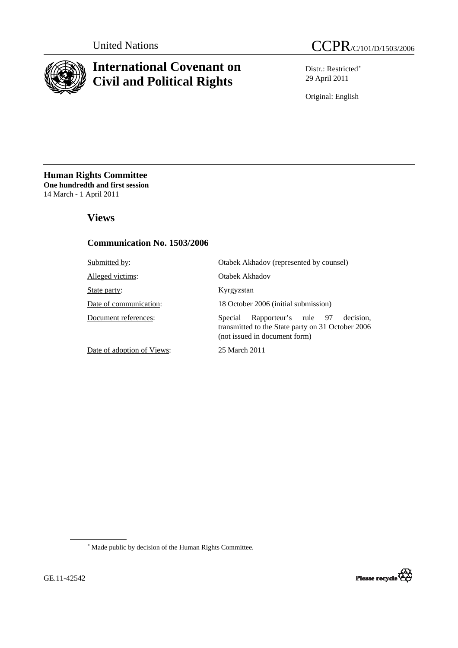

# **International Covenant on Civil and Political Rights**



Distr.: Restricted<sup>\*</sup> 29 April 2011

Original: English

**Human Rights Committee One hundredth and first session** 14 March - 1 April 2011

### **Views**

### **Communication No. 1503/2006**

| Submitted by:              | Otabek Akhadov (represented by counsel)                                                                                            |  |
|----------------------------|------------------------------------------------------------------------------------------------------------------------------------|--|
| Alleged victims:           | Otabek Akhadov                                                                                                                     |  |
| State party:               | Kyrgyzstan                                                                                                                         |  |
| Date of communication:     | 18 October 2006 (initial submission)                                                                                               |  |
| Document references:       | Rapporteur's rule 97<br>decision.<br>Special<br>transmitted to the State party on 31 October 2006<br>(not issued in document form) |  |
| Date of adoption of Views: | 25 March 2011                                                                                                                      |  |

<span id="page-0-0"></span>∗ Made public by decision of the Human Rights Committee.

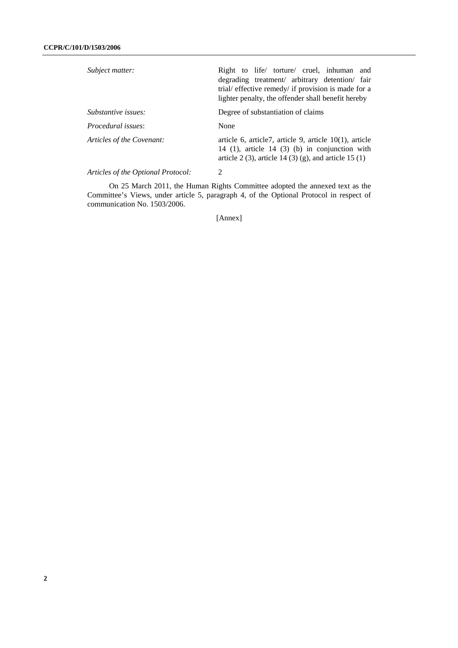| Subject matter:                    | Right to life torture cruel, inhuman and<br>degrading treatment/ arbitrary detention/ fair<br>trial/ effective remedy/ if provision is made for a<br>lighter penalty, the offender shall benefit hereby |  |
|------------------------------------|---------------------------------------------------------------------------------------------------------------------------------------------------------------------------------------------------------|--|
| Substantive issues:                | Degree of substantiation of claims                                                                                                                                                                      |  |
| Procedural issues:                 | None                                                                                                                                                                                                    |  |
| Articles of the Covenant:          | article 6, article7, article 9, article $10(1)$ , article<br>14 (1), article 14 (3) (b) in conjunction with<br>article 2 (3), article 14 (3) (g), and article 15 (1)                                    |  |
| Articles of the Optional Protocol: | 2                                                                                                                                                                                                       |  |

 On 25 March 2011, the Human Rights Committee adopted the annexed text as the Committee's Views, under article 5, paragraph 4, of the Optional Protocol in respect of communication No. 1503/2006.

[Annex]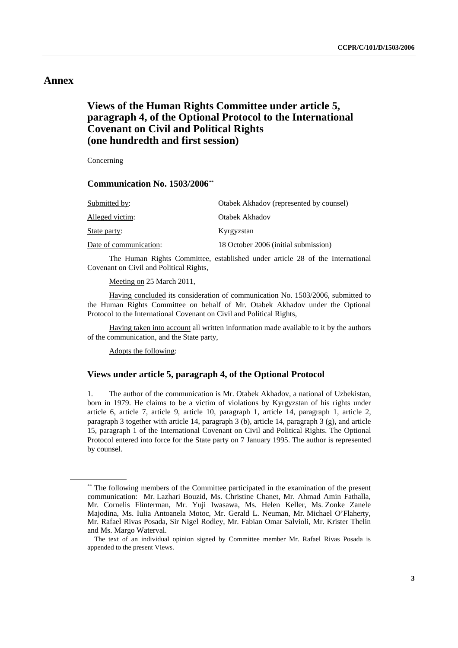### **Annex**

### **Views of the Human Rights Committee under article 5, paragraph 4, of the Optional Protocol to the International Covenant on Civil and Political Rights (one hundredth and first session)**

Concerning

#### **Communication No. 1503/2006[\\*\\*](#page-2-0)**

| Submitted by:          | Otabek Akhadov (represented by counsel) |
|------------------------|-----------------------------------------|
| Alleged victim:        | Otabek Akhadov                          |
| State party:           | Kyrgyzstan                              |
| Date of communication: | 18 October 2006 (initial submission)    |

 The Human Rights Committee, established under article 28 of the International Covenant on Civil and Political Rights,

Meeting on 25 March 2011,

 Having concluded its consideration of communication No. 1503/2006, submitted to the Human Rights Committee on behalf of Mr. Otabek Akhadov under the Optional Protocol to the International Covenant on Civil and Political Rights,

 Having taken into account all written information made available to it by the authors of the communication, and the State party,

Adopts the following:

#### **Views under article 5, paragraph 4, of the Optional Protocol**

1. The author of the communication is Mr. Otabek Akhadov, a national of Uzbekistan, born in 1979. He claims to be a victim of violations by Kyrgyzstan of his rights under article 6, article 7, article 9, article 10, paragraph 1, article 14, paragraph 1, article 2, paragraph 3 together with article 14, paragraph 3 (b), article 14, paragraph 3 (g), and article 15, paragraph 1 of the International Covenant on Civil and Political Rights. The Optional Protocol entered into force for the State party on 7 January 1995. The author is represented by counsel.

<span id="page-2-0"></span><sup>\*\*</sup> The following members of the Committee participated in the examination of the present communication: Mr. Lazhari Bouzid, Ms. Christine Chanet, Mr. Ahmad Amin Fathalla, Mr. Cornelis Flinterman, Mr. Yuji Iwasawa, Ms. Helen Keller, Ms. Zonke Zanele Majodina, Ms. Iulia Antoanela Motoc, Mr. Gerald L. Neuman, Mr. Michael O'Flaherty, Mr. Rafael Rivas Posada, Sir Nigel Rodley, Mr. Fabian Omar Salvioli, Mr. Krister Thelin and Ms. Margo Waterval.

The text of an individual opinion signed by Committee member Mr. Rafael Rivas Posada is appended to the present Views.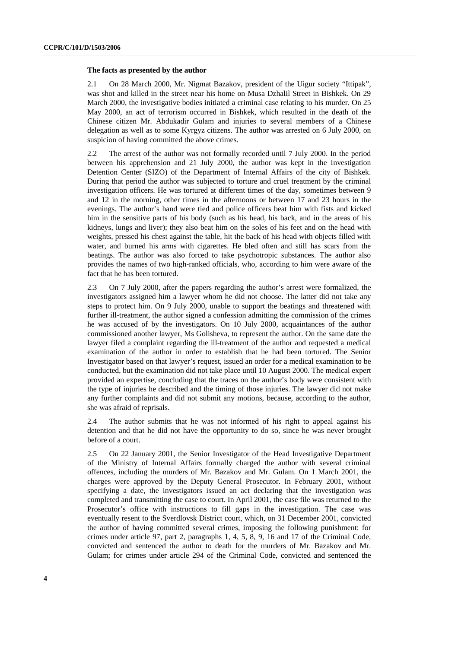#### **The facts as presented by the author**

2.1 On 28 March 2000, Mr. Nigmat Bazakov, president of the Uigur society "Ittipak", was shot and killed in the street near his home on Musa Dzhalil Street in Bishkek. On 29 March 2000, the investigative bodies initiated a criminal case relating to his murder. On 25 May 2000, an act of terrorism occurred in Bishkek, which resulted in the death of the Chinese citizen Mr. Abdukadir Gulam and injuries to several members of a Chinese delegation as well as to some Kyrgyz citizens. The author was arrested on 6 July 2000, on suspicion of having committed the above crimes.

2.2 The arrest of the author was not formally recorded until 7 July 2000. In the period between his apprehension and 21 July 2000, the author was kept in the Investigation Detention Center (SIZO) of the Department of Internal Affairs of the city of Bishkek. During that period the author was subjected to torture and cruel treatment by the criminal investigation officers. He was tortured at different times of the day, sometimes between 9 and 12 in the morning, other times in the afternoons or between 17 and 23 hours in the evenings. The author's hand were tied and police officers beat him with fists and kicked him in the sensitive parts of his body (such as his head, his back, and in the areas of his kidneys, lungs and liver); they also beat him on the soles of his feet and on the head with weights, pressed his chest against the table, hit the back of his head with objects filled with water, and burned his arms with cigarettes. He bled often and still has scars from the beatings. The author was also forced to take psychotropic substances. The author also provides the names of two high-ranked officials, who, according to him were aware of the fact that he has been tortured.

2.3 On 7 July 2000, after the papers regarding the author's arrest were formalized, the investigators assigned him a lawyer whom he did not choose. The latter did not take any steps to protect him. On 9 July 2000, unable to support the beatings and threatened with further ill-treatment, the author signed a confession admitting the commission of the crimes he was accused of by the investigators. On 10 July 2000, acquaintances of the author commissioned another lawyer, Ms Golisheva, to represent the author. On the same date the lawyer filed a complaint regarding the ill-treatment of the author and requested a medical examination of the author in order to establish that he had been tortured. The Senior Investigator based on that lawyer's request, issued an order for a medical examination to be conducted, but the examination did not take place until 10 August 2000. The medical expert provided an expertise, concluding that the traces on the author's body were consistent with the type of injuries he described and the timing of those injuries. The lawyer did not make any further complaints and did not submit any motions, because, according to the author, she was afraid of reprisals.

2.4 The author submits that he was not informed of his right to appeal against his detention and that he did not have the opportunity to do so, since he was never brought before of a court.

2.5 On 22 January 2001, the Senior Investigator of the Head Investigative Department of the Ministry of Internal Affairs formally charged the author with several criminal offences, including the murders of Mr. Bazakov and Mr. Gulam. On 1 March 2001, the charges were approved by the Deputy General Prosecutor. In February 2001, without specifying a date, the investigators issued an act declaring that the investigation was completed and transmitting the case to court. In April 2001, the case file was returned to the Prosecutor's office with instructions to fill gaps in the investigation. The case was eventually resent to the Sverdlovsk District court, which, on 31 December 2001, convicted the author of having committed several crimes, imposing the following punishment: for crimes under article 97, part 2, paragraphs 1, 4, 5, 8, 9, 16 and 17 of the Criminal Code, convicted and sentenced the author to death for the murders of Mr. Bazakov and Mr. Gulam; for crimes under article 294 of the Criminal Code, convicted and sentenced the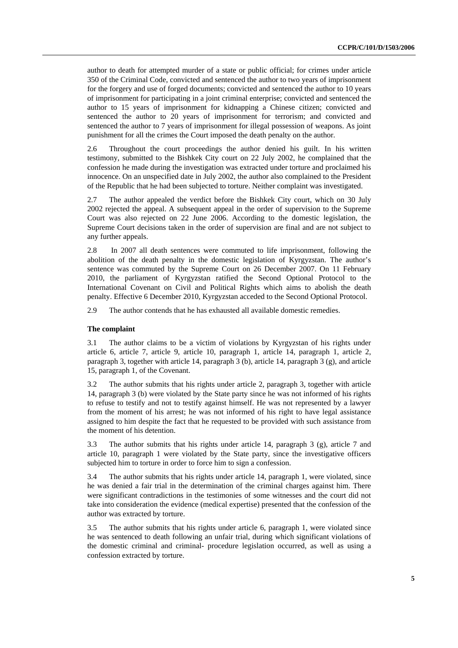author to death for attempted murder of a state or public official; for crimes under article 350 of the Criminal Code, convicted and sentenced the author to two years of imprisonment for the forgery and use of forged documents; convicted and sentenced the author to 10 years of imprisonment for participating in a joint criminal enterprise; convicted and sentenced the author to 15 years of imprisonment for kidnapping a Chinese citizen; convicted and sentenced the author to 20 years of imprisonment for terrorism; and convicted and sentenced the author to 7 years of imprisonment for illegal possession of weapons. As joint punishment for all the crimes the Court imposed the death penalty on the author.

2.6 Throughout the court proceedings the author denied his guilt. In his written testimony, submitted to the Bishkek City court on 22 July 2002, he complained that the confession he made during the investigation was extracted under torture and proclaimed his innocence. On an unspecified date in July 2002, the author also complained to the President of the Republic that he had been subjected to torture. Neither complaint was investigated.

2.7 The author appealed the verdict before the Bishkek City court, which on 30 July 2002 rejected the appeal. A subsequent appeal in the order of supervision to the Supreme Court was also rejected on 22 June 2006. According to the domestic legislation, the Supreme Court decisions taken in the order of supervision are final and are not subject to any further appeals.

2.8 In 2007 all death sentences were commuted to life imprisonment, following the abolition of the death penalty in the domestic legislation of Kyrgyzstan. The author's sentence was commuted by the Supreme Court on 26 December 2007. On 11 February 2010, the parliament of Kyrgyzstan ratified the Second Optional Protocol to the International Covenant on Civil and Political Rights which aims to abolish the death penalty. Effective 6 December 2010, Kyrgyzstan acceded to the Second Optional Protocol.

2.9 The author contends that he has exhausted all available domestic remedies.

#### **The complaint**

3.1 The author claims to be a victim of violations by Kyrgyzstan of his rights under article 6, article 7, article 9, article 10, paragraph 1, article 14, paragraph 1, article 2, paragraph 3, together with article 14, paragraph 3 (b), article 14, paragraph 3 (g), and article 15, paragraph 1, of the Covenant.

3.2 The author submits that his rights under article 2, paragraph 3, together with article 14, paragraph 3 (b) were violated by the State party since he was not informed of his rights to refuse to testify and not to testify against himself. He was not represented by a lawyer from the moment of his arrest; he was not informed of his right to have legal assistance assigned to him despite the fact that he requested to be provided with such assistance from the moment of his detention.

3.3 The author submits that his rights under article 14, paragraph 3 (g), article 7 and article 10, paragraph 1 were violated by the State party, since the investigative officers subjected him to torture in order to force him to sign a confession.

3.4 The author submits that his rights under article 14, paragraph 1, were violated, since he was denied a fair trial in the determination of the criminal charges against him. There were significant contradictions in the testimonies of some witnesses and the court did not take into consideration the evidence (medical expertise) presented that the confession of the author was extracted by torture.

3.5 The author submits that his rights under article 6, paragraph 1, were violated since he was sentenced to death following an unfair trial, during which significant violations of the domestic criminal and criminal- procedure legislation occurred, as well as using a confession extracted by torture.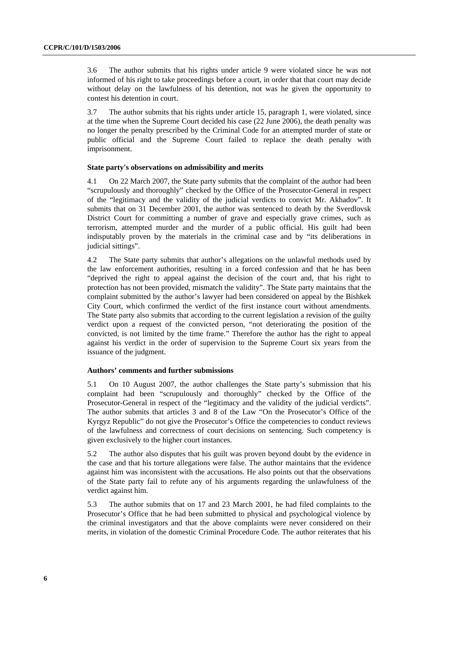3.6 The author submits that his rights under article 9 were violated since he was not informed of his right to take proceedings before a court, in order that that court may decide without delay on the lawfulness of his detention, not was he given the opportunity to contest his detention in court.

3.7 The author submits that his rights under article 15, paragraph 1, were violated, since at the time when the Supreme Court decided his case (22 June 2006), the death penalty was no longer the penalty prescribed by the Criminal Code for an attempted murder of state or public official and the Supreme Court failed to replace the death penalty with imprisonment.

#### **State party's observations on admissibility and merits**

4.1 On 22 March 2007, the State party submits that the complaint of the author had been "scrupulously and thoroughly" checked by the Office of the Prosecutor-General in respect of the "legitimacy and the validity of the judicial verdicts to convict Mr. Akhadov". It submits that on 31 December 2001, the author was sentenced to death by the Sverdlovsk District Court for committing a number of grave and especially grave crimes, such as terrorism, attempted murder and the murder of a public official. His guilt had been indisputably proven by the materials in the criminal case and by "its deliberations in judicial sittings".

4.2 The State party submits that author's allegations on the unlawful methods used by the law enforcement authorities, resulting in a forced confession and that he has been "deprived the right to appeal against the decision of the court and, that his right to protection has not been provided, mismatch the validity". The State party maintains that the complaint submitted by the author's lawyer had been considered on appeal by the Bishkek City Court, which confirmed the verdict of the first instance court without amendments. The State party also submits that according to the current legislation a revision of the guilty verdict upon a request of the convicted person, "not deteriorating the position of the convicted, is not limited by the time frame." Therefore the author has the right to appeal against his verdict in the order of supervision to the Supreme Court six years from the issuance of the judgment.

#### **Authors' comments and further submissions**

5.1 On 10 August 2007, the author challenges the State party's submission that his complaint had been "scrupulously and thoroughly" checked by the Office of the Prosecutor-General in respect of the "legitimacy and the validity of the judicial verdicts". The author submits that articles 3 and 8 of the Law "On the Prosecutor's Office of the Kyrgyz Republic" do not give the Prosecutor's Office the competencies to conduct reviews of the lawfulness and correctness of court decisions on sentencing. Such competency is given exclusively to the higher court instances.

5.2 The author also disputes that his guilt was proven beyond doubt by the evidence in the case and that his torture allegations were false. The author maintains that the evidence against him was inconsistent with the accusations. He also points out that the observations of the State party fail to refute any of his arguments regarding the unlawfulness of the verdict against him.

5.3 The author submits that on 17 and 23 March 2001, he had filed complaints to the Prosecutor's Office that he had been submitted to physical and psychological violence by the criminal investigators and that the above complaints were never considered on their merits, in violation of the domestic Criminal Procedure Code. The author reiterates that his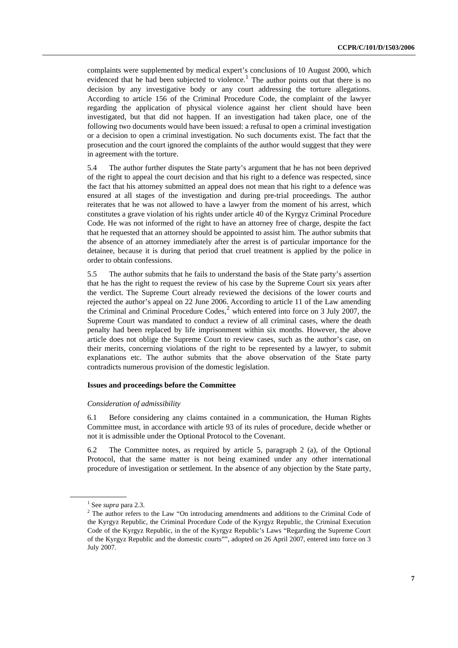complaints were supplemented by medical expert's conclusions of 10 August 2000, which evidenced that he had been subjected to violence.<sup>[1](#page-6-0)</sup> The author points out that there is no decision by any investigative body or any court addressing the torture allegations. According to article 156 of the Criminal Procedure Code, the complaint of the lawyer regarding the application of physical violence against her client should have been investigated, but that did not happen. If an investigation had taken place, one of the following two documents would have been issued: a refusal to open a criminal investigation or a decision to open a criminal investigation. No such documents exist. The fact that the prosecution and the court ignored the complaints of the author would suggest that they were in agreement with the torture.

5.4 The author further disputes the State party's argument that he has not been deprived of the right to appeal the court decision and that his right to a defence was respected, since the fact that his attorney submitted an appeal does not mean that his right to a defence was ensured at all stages of the investigation and during pre-trial proceedings. The author reiterates that he was not allowed to have a lawyer from the moment of his arrest, which constitutes a grave violation of his rights under article 40 of the Kyrgyz Criminal Procedure Code. He was not informed of the right to have an attorney free of charge, despite the fact that he requested that an attorney should be appointed to assist him. The author submits that the absence of an attorney immediately after the arrest is of particular importance for the detainee, because it is during that period that cruel treatment is applied by the police in order to obtain confessions.

5.5 The author submits that he fails to understand the basis of the State party's assertion that he has the right to request the review of his case by the Supreme Court six years after the verdict. The Supreme Court already reviewed the decisions of the lower courts and rejected the author's appeal on 22 June 2006. According to article 11 of the Law amending the Criminal and Criminal Procedure Codes,<sup>[2](#page-6-1)</sup> which entered into force on 3 July 2007, the Supreme Court was mandated to conduct a review of all criminal cases, where the death penalty had been replaced by life imprisonment within six months. However, the above article does not oblige the Supreme Court to review cases, such as the author's case, on their merits, concerning violations of the right to be represented by a lawyer, to submit explanations etc. The author submits that the above observation of the State party contradicts numerous provision of the domestic legislation.

#### **Issues and proceedings before the Committee**

#### *Consideration of admissibility*

6.1 Before considering any claims contained in a communication, the Human Rights Committee must, in accordance with article 93 of its rules of procedure, decide whether or not it is admissible under the Optional Protocol to the Covenant.

6.2 The Committee notes, as required by article 5, paragraph 2 (a), of the Optional Protocol, that the same matter is not being examined under any other international procedure of investigation or settlement. In the absence of any objection by the State party,

<sup>&</sup>lt;sup>1</sup> See *supra* para 2.3.<br><sup>2</sup> The author refers to

<span id="page-6-1"></span><span id="page-6-0"></span><sup>&</sup>lt;sup>2</sup> The author refers to the Law "On introducing amendments and additions to the Criminal Code of the Kyrgyz Republic, the Criminal Procedure Code of the Kyrgyz Republic, the Criminal Execution Code of the Kyrgyz Republic, in the of the Kyrgyz Republic's Laws "Regarding the Supreme Court of the Kyrgyz Republic and the domestic courts"", adopted on 26 April 2007, entered into force on 3 July 2007.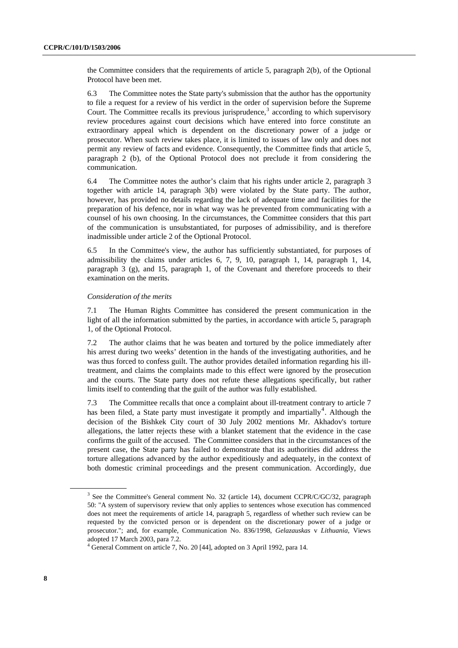the Committee considers that the requirements of article 5, paragraph 2(b), of the Optional Protocol have been met.

6.3 The Committee notes the State party's submission that the author has the opportunity to file a request for a review of his verdict in the order of supervision before the Supreme Court. The Committee recalls its previous jurisprudence, $3$  according to which supervisory review procedures against court decisions which have entered into force constitute an extraordinary appeal which is dependent on the discretionary power of a judge or prosecutor. When such review takes place, it is limited to issues of law only and does not permit any review of facts and evidence. Consequently, the Committee finds that article 5, paragraph 2 (b), of the Optional Protocol does not preclude it from considering the communication.

6.4 The Committee notes the author's claim that his rights under article 2, paragraph 3 together with article 14, paragraph 3(b) were violated by the State party. The author, however, has provided no details regarding the lack of adequate time and facilities for the preparation of his defence, nor in what way was he prevented from communicating with a counsel of his own choosing. In the circumstances, the Committee considers that this part of the communication is unsubstantiated, for purposes of admissibility, and is therefore inadmissible under article 2 of the Optional Protocol.

6.5 In the Committee's view, the author has sufficiently substantiated, for purposes of admissibility the claims under articles 6, 7, 9, 10, paragraph 1, 14, paragraph 1, 14, paragraph 3 (g), and 15, paragraph 1, of the Covenant and therefore proceeds to their examination on the merits.

#### *Consideration of the merits*

7.1 The Human Rights Committee has considered the present communication in the light of all the information submitted by the parties, in accordance with article 5, paragraph 1, of the Optional Protocol.

7.2 The author claims that he was beaten and tortured by the police immediately after his arrest during two weeks' detention in the hands of the investigating authorities, and he was thus forced to confess guilt. The author provides detailed information regarding his illtreatment, and claims the complaints made to this effect were ignored by the prosecution and the courts. The State party does not refute these allegations specifically, but rather limits itself to contending that the guilt of the author was fully established.

7.3 The Committee recalls that once a complaint about ill-treatment contrary to article 7 has been filed, a State party must investigate it promptly and impartially<sup>[4](#page-7-1)</sup>. Although the decision of the Bishkek City court of 30 July 2002 mentions Mr. Akhadov's torture allegations, the latter rejects these with a blanket statement that the evidence in the case confirms the guilt of the accused. The Committee considers that in the circumstances of the present case, the State party has failed to demonstrate that its authorities did address the torture allegations advanced by the author expeditiously and adequately, in the context of both domestic criminal proceedings and the present communication. Accordingly, due

<span id="page-7-0"></span><sup>&</sup>lt;sup>3</sup> See the Committee's General comment No. 32 (article 14), document CCPR/C/GC/32, paragraph 50: "A system of supervisory review that only applies to sentences whose execution has commenced does not meet the requirements of article 14, paragraph 5, regardless of whether such review can be requested by the convicted person or is dependent on the discretionary power of a judge or prosecutor."; and, for example, Communication No. 836/1998, *Gelazauskas* v *Lithuania*, Views adopted 17 March 2003, para 7.2.

<span id="page-7-1"></span><sup>&</sup>lt;sup>4</sup> General Comment on article 7, No. 20 [44], adopted on 3 April 1992, para 14.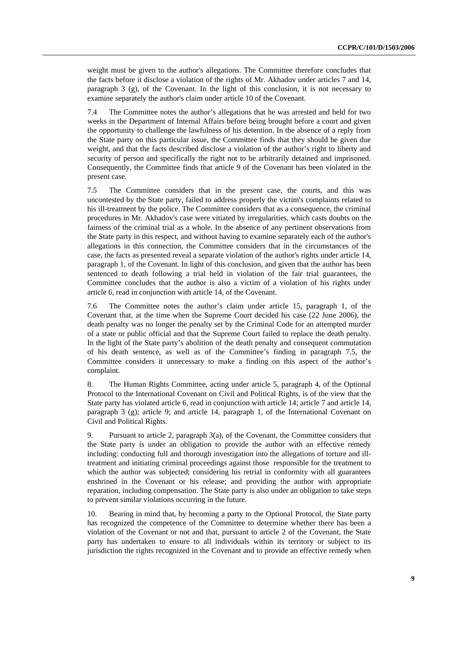weight must be given to the author's allegations. The Committee therefore concludes that the facts before it disclose a violation of the rights of Mr. Akhadov under articles 7 and 14, paragraph 3 (g), of the Covenant. In the light of this conclusion, it is not necessary to examine separately the author's claim under article 10 of the Covenant.

7.4 The Committee notes the author's allegations that he was arrested and held for two weeks in the Department of Internal Affairs before being brought before a court and given the opportunity to challenge the lawfulness of his detention. In the absence of a reply from the State party on this particular issue, the Committee finds that they should be given due weight, and that the facts described disclose a violation of the author's right to liberty and security of person and specifically the right not to be arbitrarily detained and imprisoned. Consequently, the Committee finds that article 9 of the Covenant has been violated in the present case.

7.5 The Committee considers that in the present case, the courts, and this was uncontested by the State party, failed to address properly the victim's complaints related to his ill-treatment by the police. The Committee considers that as a consequence, the criminal procedures in Mr. Akhadov's case were vitiated by irregularities, which casts doubts on the fairness of the criminal trial as a whole. In the absence of any pertinent observations from the State party in this respect, and without having to examine separately each of the author's allegations in this connection, the Committee considers that in the circumstances of the case, the facts as presented reveal a separate violation of the author's rights under article 14, paragraph 1, of the Covenant. In light of this conclusion, and given that the author has been sentenced to death following a trial held in violation of the fair trial guarantees, the Committee concludes that the author is also a victim of a violation of his rights under article 6, read in conjunction with article 14, of the Covenant.

7.6 The Committee notes the author's claim under article 15, paragraph 1, of the Covenant that, at the time when the Supreme Court decided his case (22 June 2006), the death penalty was no longer the penalty set by the Criminal Code for an attempted murder of a state or public official and that the Supreme Court failed to replace the death penalty. In the light of the State party's abolition of the death penalty and consequent commutation of his death sentence, as well as of the Committee's finding in paragraph 7.5, the Committee considers it unnecessary to make a finding on this aspect of the author's complaint.

8. The Human Rights Committee, acting under article 5, paragraph 4, of the Optional Protocol to the International Covenant on Civil and Political Rights, is of the view that the State party has violated article 6, read in conjunction with article 14; article 7 and article 14, paragraph 3 (g); article 9; and article 14, paragraph 1, of the International Covenant on Civil and Political Rights.

9. Pursuant to article 2, paragraph 3(a), of the Covenant, the Committee considers that the State party is under an obligation to provide the author with an effective remedy including: conducting full and thorough investigation into the allegations of torture and illtreatment and initiating criminal proceedings against those responsible for the treatment to which the author was subjected; considering his retrial in conformity with all guarantees enshrined in the Covenant or his release; and providing the author with appropriate reparation, including compensation. The State party is also under an obligation to take steps to prevent similar violations occurring in the future.

10. Bearing in mind that, by becoming a party to the Optional Protocol, the State party has recognized the competence of the Committee to determine whether there has been a violation of the Covenant or not and that, pursuant to article 2 of the Covenant, the State party has undertaken to ensure to all individuals within its territory or subject to its jurisdiction the rights recognized in the Covenant and to provide an effective remedy when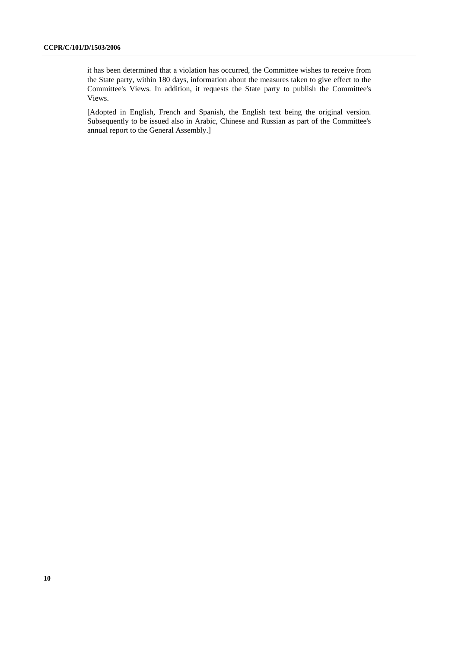it has been determined that a violation has occurred, the Committee wishes to receive from the State party, within 180 days, information about the measures taken to give effect to the Committee's Views. In addition, it requests the State party to publish the Committee's Views.

[Adopted in English, French and Spanish, the English text being the original version. Subsequently to be issued also in Arabic, Chinese and Russian as part of the Committee's annual report to the General Assembly.]